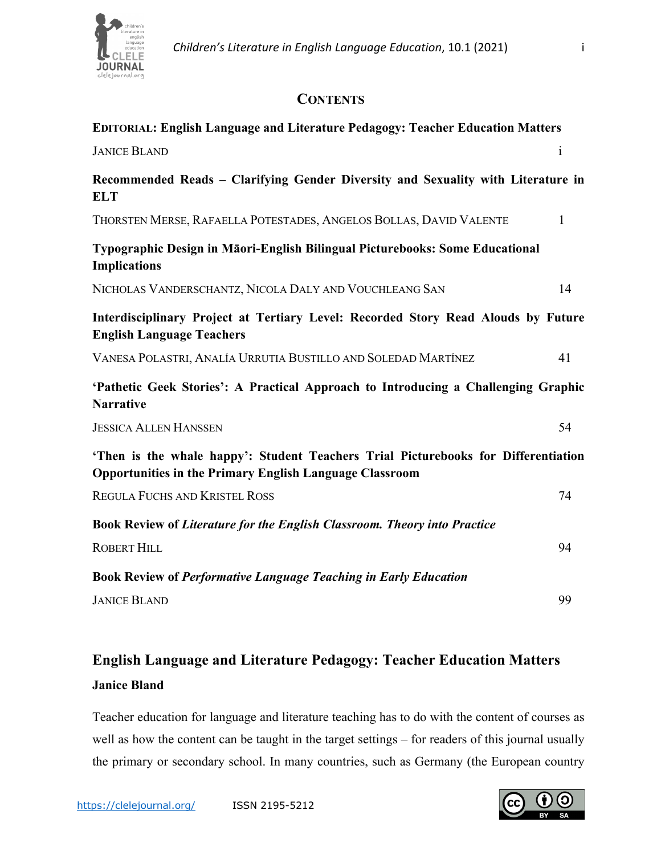

## **CONTENTS**

| EDITORIAL: English Language and Literature Pedagogy: Teacher Education Matters                                                                       |              |
|------------------------------------------------------------------------------------------------------------------------------------------------------|--------------|
| <b>JANICE BLAND</b>                                                                                                                                  | $\mathbf{i}$ |
| Recommended Reads - Clarifying Gender Diversity and Sexuality with Literature in<br><b>ELT</b>                                                       |              |
| THORSTEN MERSE, RAFAELLA POTESTADES, ANGELOS BOLLAS, DAVID VALENTE                                                                                   | 1            |
| Typographic Design in Māori-English Bilingual Picturebooks: Some Educational<br><b>Implications</b>                                                  |              |
| NICHOLAS VANDERSCHANTZ, NICOLA DALY AND VOUCHLEANG SAN                                                                                               | 14           |
| Interdisciplinary Project at Tertiary Level: Recorded Story Read Alouds by Future<br><b>English Language Teachers</b>                                |              |
| VANESA POLASTRI, ANALÍA URRUTIA BUSTILLO AND SOLEDAD MARTÍNEZ                                                                                        | 41           |
| 'Pathetic Geek Stories': A Practical Approach to Introducing a Challenging Graphic<br><b>Narrative</b>                                               |              |
| <b>JESSICA ALLEN HANSSEN</b>                                                                                                                         | 54           |
| 'Then is the whale happy': Student Teachers Trial Picturebooks for Differentiation<br><b>Opportunities in the Primary English Language Classroom</b> |              |
| <b>REGULA FUCHS AND KRISTEL ROSS</b>                                                                                                                 | 74           |
| <b>Book Review of Literature for the English Classroom. Theory into Practice</b>                                                                     |              |
| <b>ROBERT HILL</b>                                                                                                                                   | 94           |
| <b>Book Review of Performative Language Teaching in Early Education</b>                                                                              |              |
| <b>JANICE BLAND</b>                                                                                                                                  | 99           |

## **English Language and Literature Pedagogy: Teacher Education Matters Janice Bland**

Teacher education for language and literature teaching has to do with the content of courses as well as how the content can be taught in the target settings – for readers of this journal usually the primary or secondary school. In many countries, such as Germany (the European country

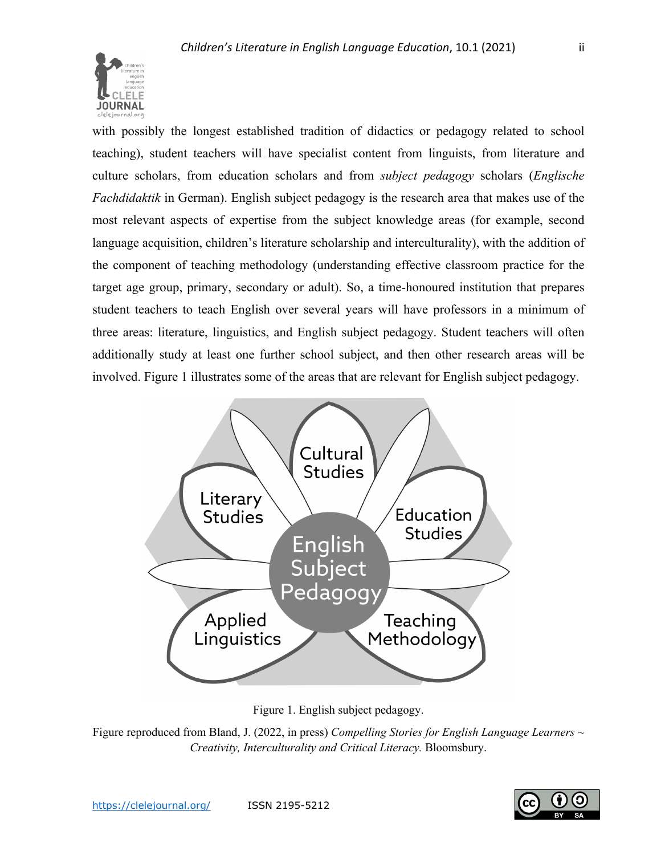

with possibly the longest established tradition of didactics or pedagogy related to school teaching), student teachers will have specialist content from linguists, from literature and culture scholars, from education scholars and from *subject pedagogy* scholars (*Englische Fachdidaktik* in German). English subject pedagogy is the research area that makes use of the most relevant aspects of expertise from the subject knowledge areas (for example, second language acquisition, children's literature scholarship and interculturality), with the addition of the component of teaching methodology (understanding effective classroom practice for the target age group, primary, secondary or adult). So, a time-honoured institution that prepares student teachers to teach English over several years will have professors in a minimum of three areas: literature, linguistics, and English subject pedagogy. Student teachers will often additionally study at least one further school subject, and then other research areas will be involved. Figure 1 illustrates some of the areas that are relevant for English subject pedagogy.



Figure 1. English subject pedagogy.

Figure reproduced from Bland, J. (2022, in press) *Compelling Stories for English Language Learners ~ Creativity, Interculturality and Critical Literacy.* Bloomsbury.

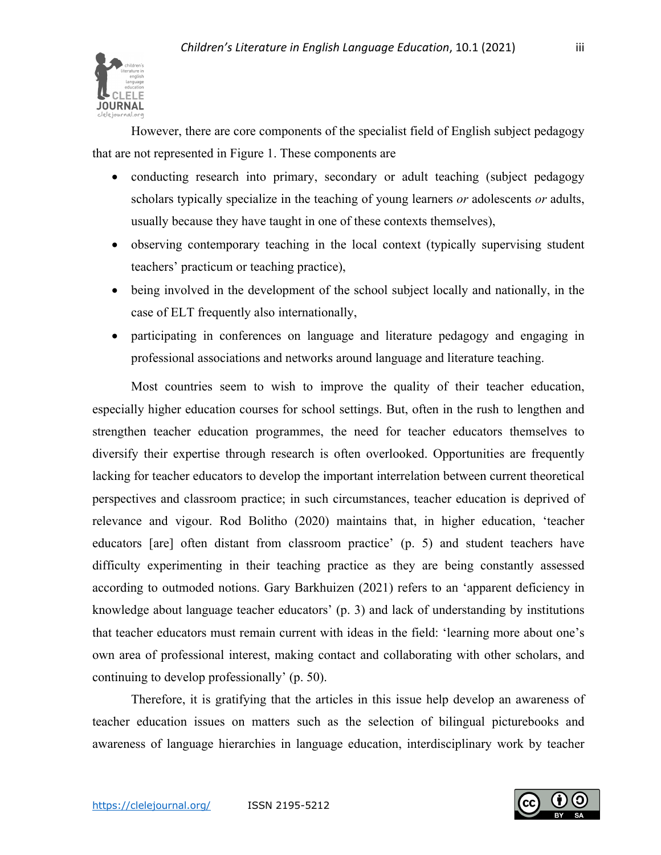

However, there are core components of the specialist field of English subject pedagogy that are not represented in Figure 1. These components are

- conducting research into primary, secondary or adult teaching (subject pedagogy scholars typically specialize in the teaching of young learners *or* adolescents *or* adults, usually because they have taught in one of these contexts themselves),
- observing contemporary teaching in the local context (typically supervising student teachers' practicum or teaching practice),
- being involved in the development of the school subject locally and nationally, in the case of ELT frequently also internationally,
- participating in conferences on language and literature pedagogy and engaging in professional associations and networks around language and literature teaching.

Most countries seem to wish to improve the quality of their teacher education, especially higher education courses for school settings. But, often in the rush to lengthen and strengthen teacher education programmes, the need for teacher educators themselves to diversify their expertise through research is often overlooked. Opportunities are frequently lacking for teacher educators to develop the important interrelation between current theoretical perspectives and classroom practice; in such circumstances, teacher education is deprived of relevance and vigour. Rod Bolitho (2020) maintains that, in higher education, 'teacher educators [are] often distant from classroom practice' (p. 5) and student teachers have difficulty experimenting in their teaching practice as they are being constantly assessed according to outmoded notions. Gary Barkhuizen (2021) refers to an 'apparent deficiency in knowledge about language teacher educators' (p. 3) and lack of understanding by institutions that teacher educators must remain current with ideas in the field: 'learning more about one's own area of professional interest, making contact and collaborating with other scholars, and continuing to develop professionally' (p. 50).

Therefore, it is gratifying that the articles in this issue help develop an awareness of teacher education issues on matters such as the selection of bilingual picturebooks and awareness of language hierarchies in language education, interdisciplinary work by teacher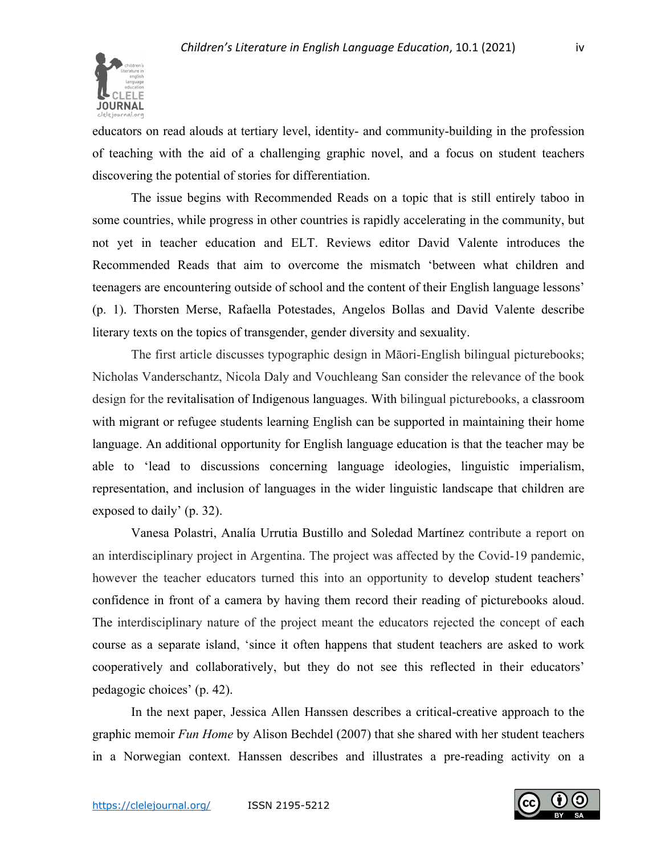

educators on read alouds at tertiary level, identity- and community-building in the profession of teaching with the aid of a challenging graphic novel, and a focus on student teachers discovering the potential of stories for differentiation.

The issue begins with Recommended Reads on a topic that is still entirely taboo in some countries, while progress in other countries is rapidly accelerating in the community, but not yet in teacher education and ELT. Reviews editor David Valente introduces the Recommended Reads that aim to overcome the mismatch 'between what children and teenagers are encountering outside of school and the content of their English language lessons' (p. 1). Thorsten Merse, Rafaella Potestades, Angelos Bollas and David Valente describe literary texts on the topics of transgender, gender diversity and sexuality.

The first article discusses typographic design in Māori-English bilingual picturebooks; Nicholas Vanderschantz, Nicola Daly and Vouchleang San consider the relevance of the book design for the revitalisation of Indigenous languages. With bilingual picturebooks, a classroom with migrant or refugee students learning English can be supported in maintaining their home language. An additional opportunity for English language education is that the teacher may be able to 'lead to discussions concerning language ideologies, linguistic imperialism, representation, and inclusion of languages in the wider linguistic landscape that children are exposed to daily' (p. 32).

Vanesa Polastri, Analía Urrutia Bustillo and Soledad Martínez contribute a report on an interdisciplinary project in Argentina. The project was affected by the Covid-19 pandemic, however the teacher educators turned this into an opportunity to develop student teachers' confidence in front of a camera by having them record their reading of picturebooks aloud. The interdisciplinary nature of the project meant the educators rejected the concept of each course as a separate island, 'since it often happens that student teachers are asked to work cooperatively and collaboratively, but they do not see this reflected in their educators' pedagogic choices' (p. 42).

In the next paper, Jessica Allen Hanssen describes a critical-creative approach to the graphic memoir *Fun Home* by Alison Bechdel (2007) that she shared with her student teachers in a Norwegian context. Hanssen describes and illustrates a pre-reading activity on a